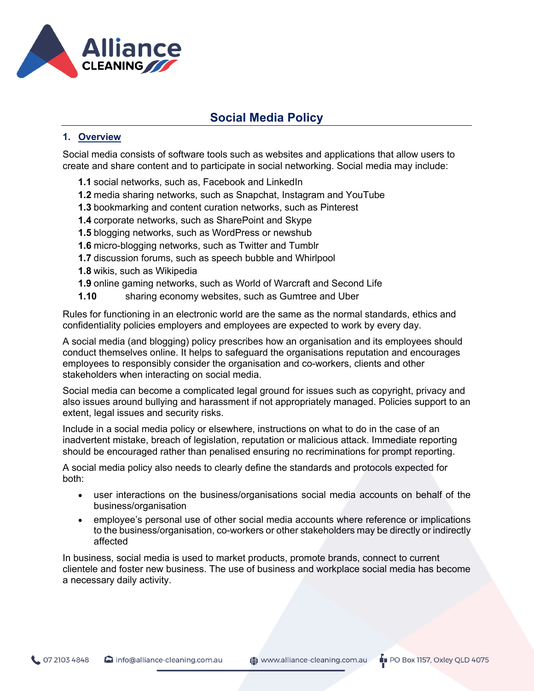

## **1. Overview**

Social media consists of software tools such as websites and applications that allow users to create and share content and to participate in social networking. Social media may include:

- **1.1** social networks, such as, Facebook and LinkedIn
- **1.2** media sharing networks, such as Snapchat, Instagram and YouTube
- **1.3** bookmarking and content curation networks, such as Pinterest
- **1.4** corporate networks, such as SharePoint and Skype
- **1.5** blogging networks, such as WordPress or newshub
- **1.6** micro-blogging networks, such as Twitter and Tumblr
- **1.7** discussion forums, such as speech bubble and Whirlpool
- **1.8** wikis, such as Wikipedia
- **1.9** online gaming networks, such as World of Warcraft and Second Life
- **1.10** sharing economy websites, such as Gumtree and Uber

Rules for functioning in an electronic world are the same as the normal standards, ethics and confidentiality policies employers and employees are expected to work by every day.

A social media (and blogging) policy prescribes how an organisation and its employees should conduct themselves online. It helps to safeguard the organisations reputation and encourages employees to responsibly consider the organisation and co-workers, clients and other stakeholders when interacting on social media.

Social media can become a complicated legal ground for issues such as copyright, privacy and also issues around bullying and harassment if not appropriately managed. Policies support to an extent, legal issues and security risks.

Include in a social media policy or elsewhere, instructions on what to do in the case of an inadvertent mistake, breach of legislation, reputation or malicious attack. Immediate reporting should be encouraged rather than penalised ensuring no recriminations for prompt reporting.

A social media policy also needs to clearly define the standards and protocols expected for both:

- user interactions on the business/organisations social media accounts on behalf of the business/organisation
- employee's personal use of other social media accounts where reference or implications to the business/organisation, co-workers or other stakeholders may be directly or indirectly affected

In business, social media is used to market products, promote brands, connect to current clientele and foster new business. The use of business and workplace social media has become a necessary daily activity.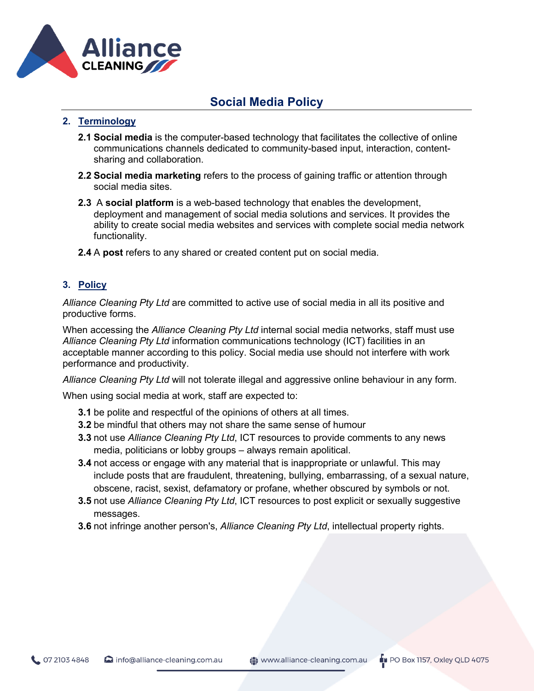

## **2. Terminology**

- **2.1 Social media** is the computer-based technology that facilitates the collective of online communications channels dedicated to community-based input, interaction, contentsharing and collaboration.
- **2.2 Social media marketing** refers to the process of gaining traffic or attention through social media sites.
- **2.3** A **social platform** is a web-based technology that enables the development, deployment and management of social media solutions and services. It provides the ability to create social media websites and services with complete social media network functionality.
- **2.4** A **post** refers to any shared or created content put on social media.

## **3. Policy**

*Alliance Cleaning Pty Ltd* are committed to active use of social media in all its positive and productive forms.

When accessing the *Alliance Cleaning Pty Ltd* internal social media networks, staff must use *Alliance Cleaning Pty Ltd* information communications technology (ICT) facilities in an acceptable manner according to this policy. Social media use should not interfere with work performance and productivity.

*Alliance Cleaning Pty Ltd* will not tolerate illegal and aggressive online behaviour in any form.

When using social media at work, staff are expected to:

- **3.1** be polite and respectful of the opinions of others at all times.
- **3.2** be mindful that others may not share the same sense of humour
- **3.3** not use *Alliance Cleaning Pty Ltd*, ICT resources to provide comments to any news media, politicians or lobby groups – always remain apolitical.
- **3.4** not access or engage with any material that is inappropriate or unlawful. This may include posts that are fraudulent, threatening, bullying, embarrassing, of a sexual nature, obscene, racist, sexist, defamatory or profane, whether obscured by symbols or not.
- **3.5** not use *Alliance Cleaning Pty Ltd*, ICT resources to post explicit or sexually suggestive messages.
- **3.6** not infringe another person's, *Alliance Cleaning Pty Ltd*, intellectual property rights.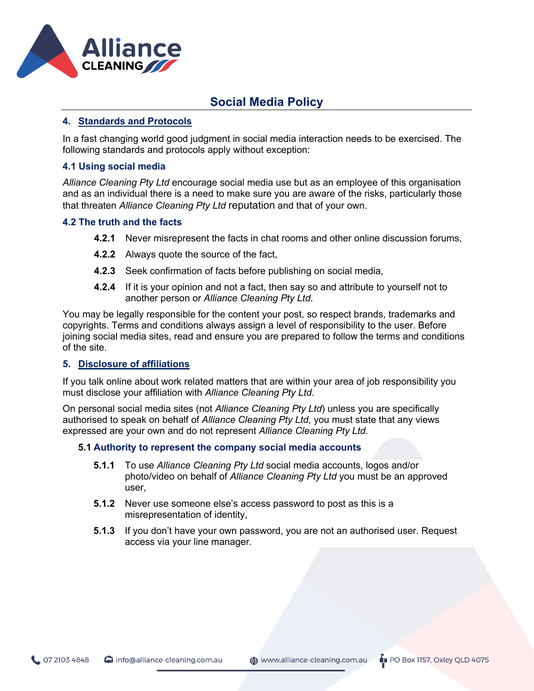

#### **4. Standards and Protocols**

In a fast changing world good judgment in social media interaction needs to be exercised. The following standards and protocols apply without exception:

#### **4.1 Using social media**

*Alliance Cleaning Pty Ltd* encourage social media use but as an employee of this organisation and as an individual there is a need to make sure you are aware of the risks, particularly those that threaten *Alliance Cleaning Pty Ltd* reputation and that of your own.

#### **4.2 The truth and the facts**

- **4.2.1** Never misrepresent the facts in chat rooms and other online discussion forums,
- **4.2.2** Always quote the source of the fact,
- **4.2.3** Seek confirmation of facts before publishing on social media,
- **4.2.4** If it is your opinion and not a fact, then say so and attribute to yourself not to another person or *Alliance Cleaning Pty Ltd*.

You may be legally responsible for the content your post, so respect brands, trademarks and copyrights. Terms and conditions always assign a level of responsibility to the user. Before joining social media sites, read and ensure you are prepared to follow the terms and conditions of the site.

#### **5. Disclosure of affiliations**

If you talk online about work related matters that are within your area of job responsibility you must disclose your affiliation with *Alliance Cleaning Pty Ltd*.

On personal social media sites (not *Alliance Cleaning Pty Ltd*) unless you are specifically authorised to speak on behalf of *Alliance Cleaning Pty Ltd*, you must state that any views expressed are your own and do not represent *Alliance Cleaning Pty Ltd*.

#### **5.1 Authority to represent the company social media accounts**

- **5.1.1** To use *Alliance Cleaning Pty Ltd* social media accounts, logos and/or photo/video on behalf of *Alliance Cleaning Pty Ltd* you must be an approved user,
- **5.1.2** Never use someone else's access password to post as this is a misrepresentation of identity,
- **5.1.3** If you don't have your own password, you are not an authorised user. Request access via your line manager.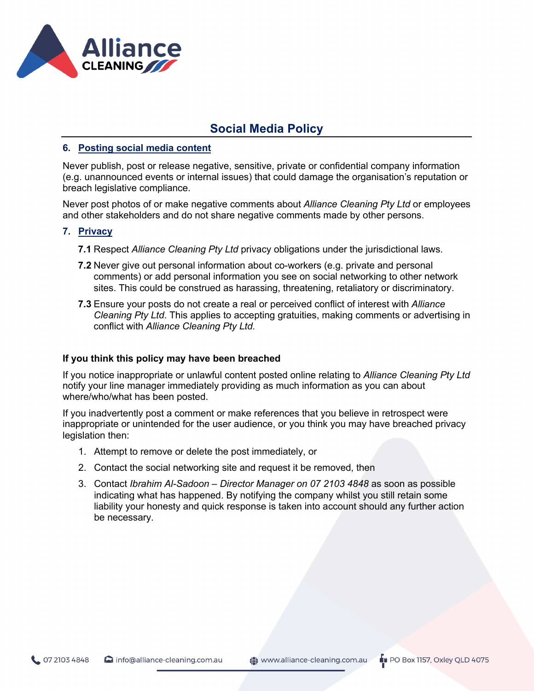

#### **6. Posting social media content**

Never publish, post or release negative, sensitive, private or confidential company information (e.g. unannounced events or internal issues) that could damage the organisation's reputation or breach legislative compliance.

Never post photos of or make negative comments about *Alliance Cleaning Pty Ltd* or employees and other stakeholders and do not share negative comments made by other persons.

#### **7. Privacy**

- **7.1** Respect *Alliance Cleaning Pty Ltd* privacy obligations under the jurisdictional laws.
- **7.2** Never give out personal information about co-workers (e.g. private and personal comments) or add personal information you see on social networking to other network sites. This could be construed as harassing, threatening, retaliatory or discriminatory.
- **7.3** Ensure your posts do not create a real or perceived conflict of interest with *Alliance Cleaning Pty Ltd*. This applies to accepting gratuities, making comments or advertising in conflict with *Alliance Cleaning Pty Ltd.*

#### **If you think this policy may have been breached**

If you notice inappropriate or unlawful content posted online relating to *Alliance Cleaning Pty Ltd* notify your line manager immediately providing as much information as you can about where/who/what has been posted.

If you inadvertently post a comment or make references that you believe in retrospect were inappropriate or unintended for the user audience, or you think you may have breached privacy legislation then:

- 1. Attempt to remove or delete the post immediately, or
- 2. Contact the social networking site and request it be removed, then
- 3. Contact *Ibrahim Al-Sadoon – Director Manager on 07 2103 4848* as soon as possible indicating what has happened. By notifying the company whilst you still retain some liability your honesty and quick response is taken into account should any further action be necessary.